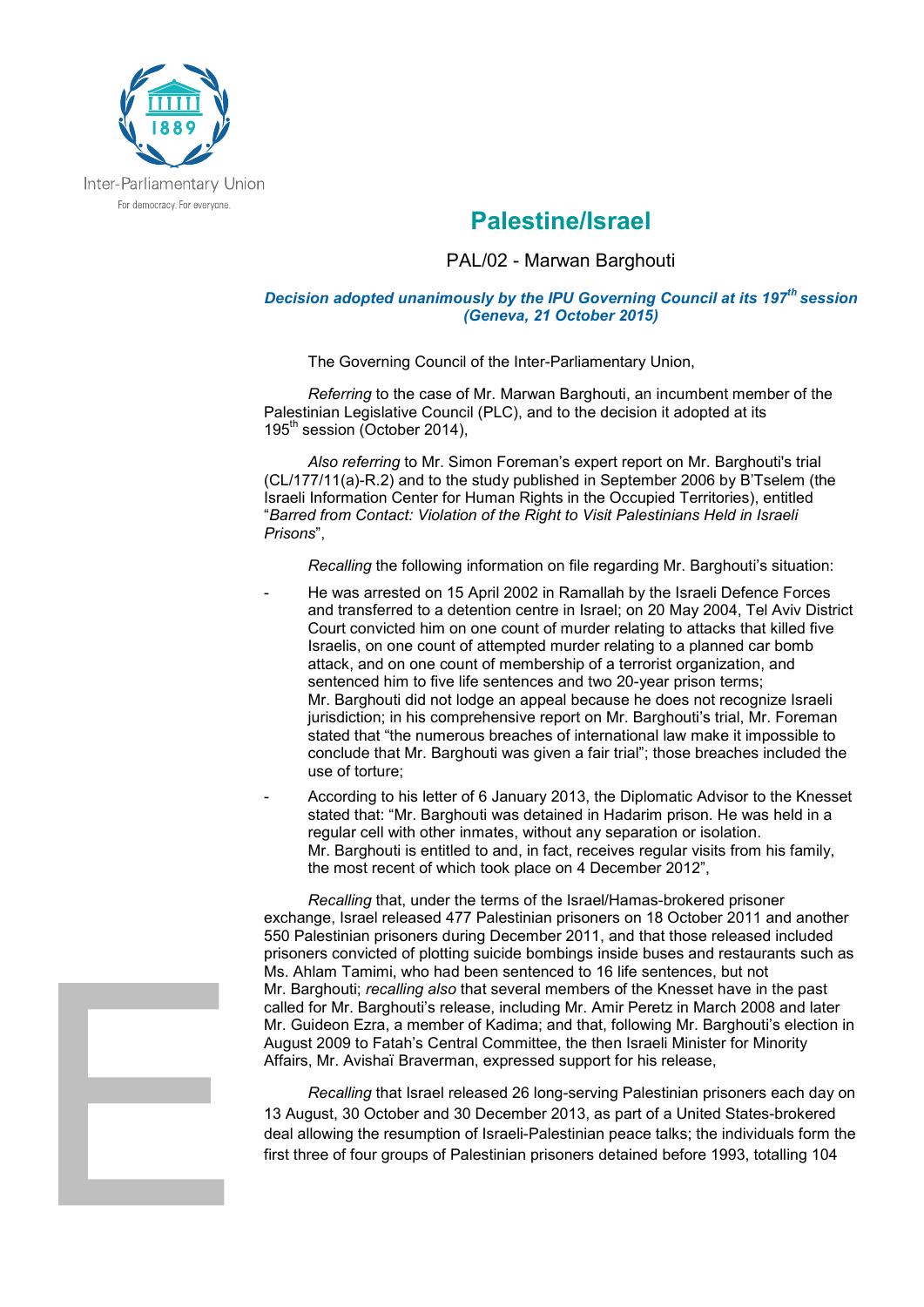

## **Palestine/Israel**

## PAL/02 - Marwan Barghouti

## *Decision adopted unanimously by the IPU Governing Council at its 197th session (Geneva, 21 October 2015)*

The Governing Council of the Inter-Parliamentary Union,

*Referring* to the case of Mr. Marwan Barghouti, an incumbent member of the Palestinian Legislative Council (PLC), and to the decision it adopted at its 195<sup>th</sup> session (October 2014),

*Also referring* to Mr. Simon Foreman's expert report on Mr. Barghouti's trial (CL/177/11(a)-R.2) and to the study published in September 2006 by B'Tselem (the Israeli Information Center for Human Rights in the Occupied Territories), entitled "*Barred from Contact: Violation of the Right to Visit Palestinians Held in Israeli Prisons*",

*Recalling* the following information on file regarding Mr. Barghouti's situation:

- He was arrested on 15 April 2002 in Ramallah by the Israeli Defence Forces and transferred to a detention centre in Israel; on 20 May 2004, Tel Aviv District Court convicted him on one count of murder relating to attacks that killed five Israelis, on one count of attempted murder relating to a planned car bomb attack, and on one count of membership of a terrorist organization, and sentenced him to five life sentences and two 20-year prison terms; Mr. Barghouti did not lodge an appeal because he does not recognize Israeli jurisdiction; in his comprehensive report on Mr. Barghouti's trial, Mr. Foreman stated that "the numerous breaches of international law make it impossible to conclude that Mr. Barghouti was given a fair trial"; those breaches included the use of torture;
- According to his letter of 6 January 2013, the Diplomatic Advisor to the Knesset stated that: "Mr. Barghouti was detained in Hadarim prison. He was held in a regular cell with other inmates, without any separation or isolation. Mr. Barghouti is entitled to and, in fact, receives regular visits from his family, the most recent of which took place on 4 December 2012",

*Recalling* that, under the terms of the Israel/Hamas-brokered prisoner exchange, Israel released 477 Palestinian prisoners on 18 October 2011 and another 550 Palestinian prisoners during December 2011, and that those released included prisoners convicted of plotting suicide bombings inside buses and restaurants such as Ms. Ahlam Tamimi, who had been sentenced to 16 life sentences, but not Mr. Barghouti; *recalling also* that several members of the Knesset have in the past called for Mr. Barghouti's release, including Mr. Amir Peretz in March 2008 and later Mr. Guideon Ezra, a member of Kadima; and that, following Mr. Barghouti's election in August 2009 to Fatah's Central Committee, the then Israeli Minister for Minority Affairs, Mr. Avishaï Braverman, expressed support for his release,

*Recalling* that Israel released 26 long-serving Palestinian prisoners each day on 13 August, 30 October and 30 December 2013, as part of a United States-brokered deal allowing the resumption of Israeli-Palestinian peace talks; the individuals form the first three of four groups of Palestinian prisoners detained before 1993, totalling 104